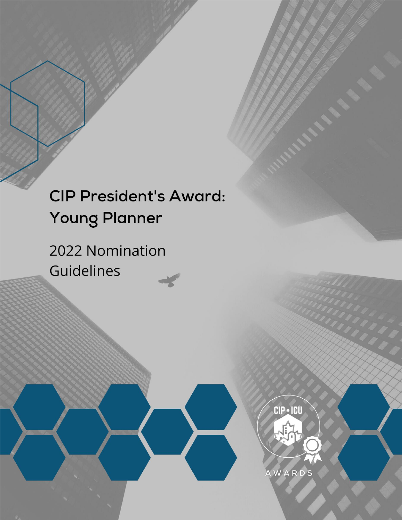# **CIP President's Award: Young Planner**

2022 Nomination Guidelines

**CIP • ICU** 

AWARDS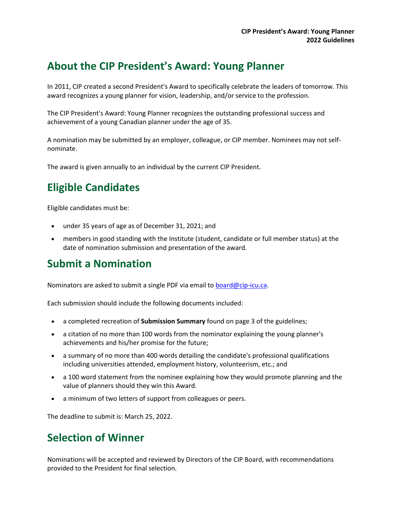#### **About the CIP President's Award: Young Planner**

In 2011, CIP created a second President's Award to specifically celebrate the leaders of tomorrow. This award recognizes a young planner for vision, leadership, and/or service to the profession.

The CIP President's Award: Young Planner recognizes the outstanding professional success and achievement of a young Canadian planner under the age of 35.

A nomination may be submitted by an employer, colleague, or CIP member. Nominees may not selfnominate.

The award is given annually to an individual by the current CIP President.

### **Eligible Candidates**

Eligible candidates must be:

- under 35 years of age as of December 31, 2021; and
- members in good standing with the Institute (student, candidate or full member status) at the date of nomination submission and presentation of the award.

#### **Submit a Nomination**

Nominators are asked to submit a single PDF via email to **board@cip-icu.ca**.

Each submission should include the following documents included:

- a completed recreation of **Submission Summary** found on page 3 of the guidelines;
- a citation of no more than 100 words from the nominator explaining the young planner's achievements and his/her promise for the future;
- a summary of no more than 400 words detailing the candidate's professional qualifications including universities attended, employment history, volunteerism, etc.; and
- a 100 word statement from the nominee explaining how they would promote planning and the value of planners should they win this Award.
- a minimum of two letters of support from colleagues or peers.

The deadline to submit is: March 25, 2022.

#### **Selection of Winner**

Nominations will be accepted and reviewed by Directors of the CIP Board, with recommendations provided to the President for final selection.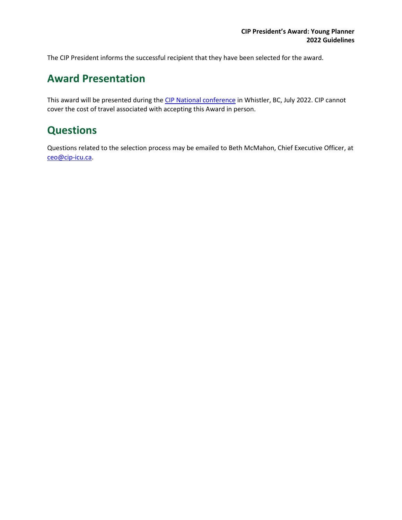The CIP President informs the successful recipient that they have been selected for the award.

#### **Award Presentation**

This award will be presented during the [CIP National conference](https://web.cvent.com/event/24eb3bfc-9361-4836-b131-6675a7edc33c/summary) in Whistler, BC, July 2022. CIP cannot cover the cost of travel associated with accepting this Award in person.

#### **Questions**

Questions related to the selection process may be emailed to Beth McMahon, Chief Executive Officer, at [ceo@cip-icu.ca.](mailto:ceo@cip-icu.ca)